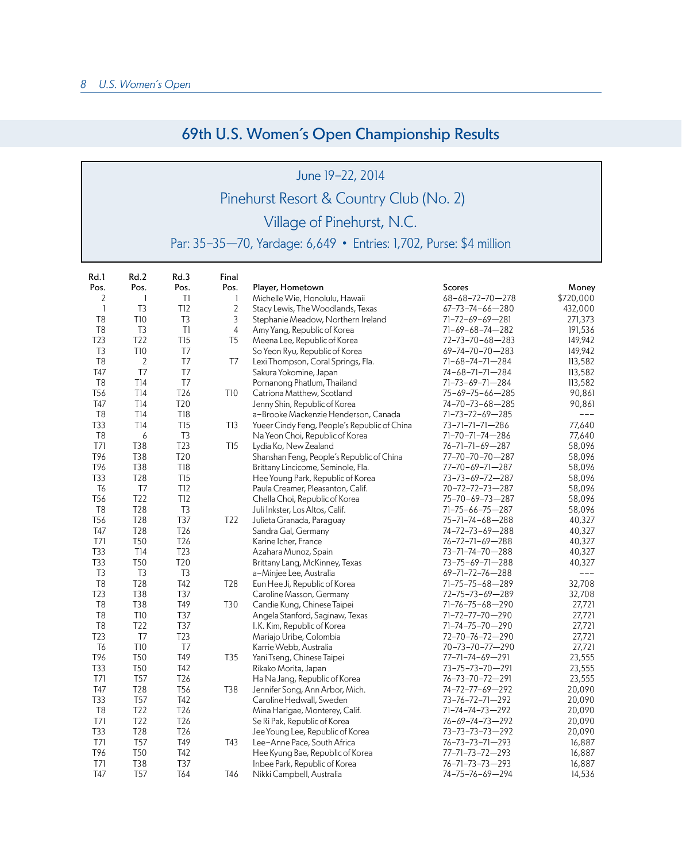## 69th U.S. Women's Open Championship Results

## June 19-22, 2014 Pinehurst Resort & Country Club (No. 2) Village of Pinehurst, N.C.

Par: 35-35—70, Yardage: 6,649 • Entries: 1,702, Purse: \$4 million

| Rd.1            | Rd.2            | Rd.3            | Final           |                                              |                           |           |
|-----------------|-----------------|-----------------|-----------------|----------------------------------------------|---------------------------|-----------|
| Pos.            | Pos.            | Pos.            | Pos.            | Player, Hometown                             | Scores                    | Money     |
| 2               | $\mathbf{1}$    | T1              | 1               | Michelle Wie, Honolulu, Hawaii               | $68 - 68 - 72 - 70 - 278$ | \$720,000 |
| $\mathbf{1}$    | T <sub>3</sub>  | T12             | $\overline{2}$  | Stacy Lewis, The Woodlands, Texas            | $67 - 73 - 74 - 66 - 280$ | 432,000   |
| T <sub>8</sub>  | <b>T10</b>      | T3              | 3               | Stephanie Meadow, Northern Ireland           | 71-72-69-69-281           | 271,373   |
| T <sub>8</sub>  | T3              | TI              | 4               | Amy Yang, Republic of Korea                  | 71-69-68-74-282           | 191,536   |
| T23             | T22             | <b>T15</b>      | T <sub>5</sub>  | Meena Lee, Republic of Korea                 | 72-73-70-68-283           | 149,942   |
| T <sub>3</sub>  | <b>T10</b>      | T <sub>7</sub>  |                 | So Yeon Ryu, Republic of Korea               | $69 - 74 - 70 - 70 - 283$ | 149,942   |
| T <sub>8</sub>  | $\overline{2}$  | T7              | T <sub>7</sub>  | Lexi Thompson, Coral Springs, Fla.           | 71-68-74-71-284           | 113,582   |
| T47             | T7              | T7              |                 | Sakura Yokomine, Japan                       | 74-68-71-71-284           | 113,582   |
| T <sub>8</sub>  | T14             | T7              |                 | Pornanong Phatlum, Thailand                  | 71-73-69-71-284           | 113,582   |
| T <sub>56</sub> | T14             | T <sub>26</sub> | <b>T10</b>      | Catriona Matthew, Scotland                   | 75-69-75-66-285           | 90,861    |
| T47             | T14             | T20             |                 | Jenny Shin, Republic of Korea                | 74-70-73-68-285           | 90,861    |
| T <sub>8</sub>  | T14             | <b>T18</b>      |                 | a-Brooke Mackenzie Henderson, Canada         | 71-73-72-69-285           | ---       |
| T33             | T14             | T15             | T13             | Yueer Cindy Feng, People's Republic of China | 73-71-71-71-286           | 77,640    |
| T <sub>8</sub>  | 6               | T <sub>3</sub>  |                 | Na Yeon Choi, Republic of Korea              | 71-70-71-74-286           | 77,640    |
| T71             | T38             | T23             | T <sub>15</sub> | Lydia Ko, New Zealand                        | 76-71-71-69-287           | 58,096    |
| T96             | T38             | T20             |                 | Shanshan Feng, People's Republic of China    | 77-70-70-70-287           | 58,096    |
| T96             | T38             | <b>T18</b>      |                 | Brittany Lincicome, Seminole, Fla.           | 77-70-69-71-287           | 58,096    |
| T33             | <b>T28</b>      | T15             |                 | Hee Young Park, Republic of Korea            | 73-73-69-72-287           | 58,096    |
| T <sub>6</sub>  | T7              | T <sub>12</sub> |                 | Paula Creamer, Pleasanton, Calif.            | 70-72-72-73-287           | 58,096    |
| T <sub>56</sub> | T22             | <b>T12</b>      |                 | Chella Choi, Republic of Korea               | 75-70-69-73-287           | 58,096    |
| T <sub>8</sub>  | T28             | T <sub>3</sub>  |                 | Juli Inkster, Los Altos, Calif.              | 71-75-66-75-287           | 58,096    |
| T <sub>56</sub> | T28             | <b>T37</b>      | T22             | Julieta Granada, Paraguay                    | 75-71-74-68-288           | 40,327    |
| T47             | T28             | T26             |                 | Sandra Gal, Germany                          | 74-72-73-69-288           | 40,327    |
| T71             | <b>T50</b>      | T <sub>26</sub> |                 | Karine Icher, France                         | 76-72-71-69-288           | 40,327    |
| <b>T33</b>      | T14             | T23             |                 | Azahara Munoz, Spain                         | 73-71-74-70-288           | 40,327    |
| <b>T33</b>      | <b>T50</b>      | T20             |                 | Brittany Lang, McKinney, Texas               | 73-75-69-71-288           | 40,327    |
| T <sub>3</sub>  | T <sub>3</sub>  | T <sub>3</sub>  |                 | a-Minjee Lee, Australia                      | 69-71-72-76-288           | $---$     |
| T <sub>8</sub>  | <b>T28</b>      | T42             | T <sub>28</sub> | Eun Hee Ji, Republic of Korea                | 71-75-75-68-289           | 32,708    |
| <b>T23</b>      | T38             | <b>T37</b>      |                 | Caroline Masson, Germany                     | 72-75-73-69-289           | 32,708    |
| T <sub>8</sub>  | <b>T38</b>      | T49             | T30             | Candie Kung, Chinese Taipei                  | 71-76-75-68-290           | 27,721    |
| T <sub>8</sub>  | T10             | T37             |                 | Angela Stanford, Saginaw, Texas              | 71-72-77-70-290           | 27,721    |
| T <sub>8</sub>  | T22             | T37             |                 | I.K. Kim, Republic of Korea                  | 71-74-75-70-290           | 27,721    |
| T23             | T <sub>7</sub>  | T23             |                 | Mariajo Uribe, Colombia                      | 72-70-76-72-290           | 27,721    |
| T <sub>6</sub>  | <b>T10</b>      | T <sub>7</sub>  |                 | Karrie Webb, Australia                       | 70-73-70-77-290           | 27,721    |
| T96             | T50             | T49             | T35             | Yani Tseng, Chinese Taipei                   | 77-71-74-69-291           | 23,555    |
| <b>T33</b>      | <b>T50</b>      | T42             |                 | Rikako Morita, Japan                         | 73-75-73-70-291           | 23,555    |
| <b>T71</b>      | <b>T57</b>      | T <sub>26</sub> |                 | Ha Na Jang, Republic of Korea                | 76-73-70-72-291           | 23,555    |
| T47             | <b>T28</b>      | T <sub>56</sub> | T38             | Jennifer Song, Ann Arbor, Mich.              | 74-72-77-69-292           | 20,090    |
| T33             | T <sub>57</sub> | T42             |                 | Caroline Hedwall, Sweden                     | 73-76-72-71-292           | 20,090    |
| T <sub>8</sub>  | T22             | T <sub>26</sub> |                 | Mina Harigae, Monterey, Calif.               | 71-74-74-73-292           | 20,090    |
| <b>T71</b>      | T22             | T26             |                 | Se Ri Pak, Republic of Korea                 | 76-69-74-73-292           | 20,090    |
| T33             | T28             | T <sub>26</sub> |                 | Jee Young Lee, Republic of Korea             | 73-73-73-73-292           | 20,090    |
| <b>T71</b>      | T <sub>57</sub> | T49             | T43             | Lee-Anne Pace, South Africa                  | 76-73-73-71-293           | 16,887    |
| T96             | T50             | T42             |                 | Hee Kyung Bae, Republic of Korea             | 77-71-73-72-293           | 16,887    |
| <b>T71</b>      | T38             | <b>T37</b>      |                 | Inbee Park, Republic of Korea                | 76-71-73-73-293           | 16,887    |
| T47             | T <sub>57</sub> | T64             | T46             | Nikki Campbell, Australia                    | 74-75-76-69-294           | 14,536    |